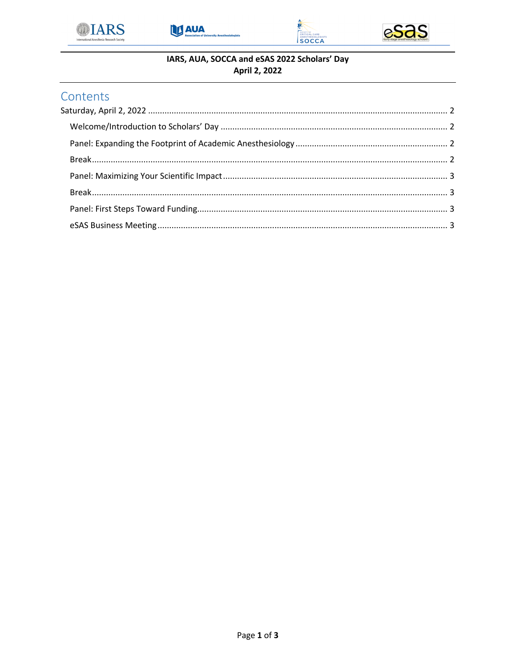







## IARS, AUA, SOCCA and eSAS 2022 Scholars' Day April 2, 2022

# Contents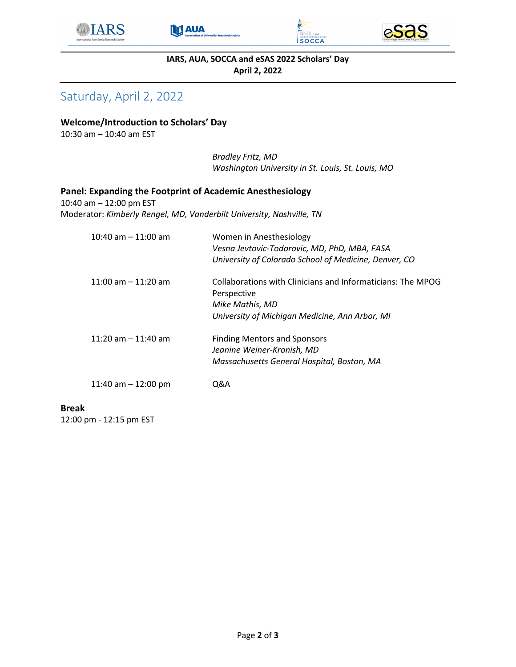





**IARS, AUA, SOCCA and eSAS 2022 Scholars' Day April 2, 2022**

# Saturday, April 2, 2022

## **Welcome/Introduction to Scholars' Day**

10:30 am – 10:40 am EST

*Bradley Fritz, MD Washington University in St. Louis, St. Louis, MO*

#### **Panel: Expanding the Footprint of Academic Anesthesiology**

10:40 am – 12:00 pm EST Moderator: *Kimberly Rengel, MD, Vanderbilt University, Nashville, TN*

| $10:40$ am $-11:00$ am | Women in Anesthesiology<br>Vesna Jevtovic-Todorovic, MD, PhD, MBA, FASA<br>University of Colorado School of Medicine, Denver, CO                |
|------------------------|-------------------------------------------------------------------------------------------------------------------------------------------------|
| $11:00$ am $-11:20$ am | Collaborations with Clinicians and Informaticians: The MPOG<br>Perspective<br>Mike Mathis, MD<br>University of Michigan Medicine, Ann Arbor, MI |
| 11:20 am $-$ 11:40 am  | <b>Finding Mentors and Sponsors</b><br>Jeanine Weiner-Kronish, MD<br>Massachusetts General Hospital, Boston, MA                                 |
| 11:40 am $-$ 12:00 pm  | 0&A                                                                                                                                             |

## **Break**

12:00 pm - 12:15 pm EST